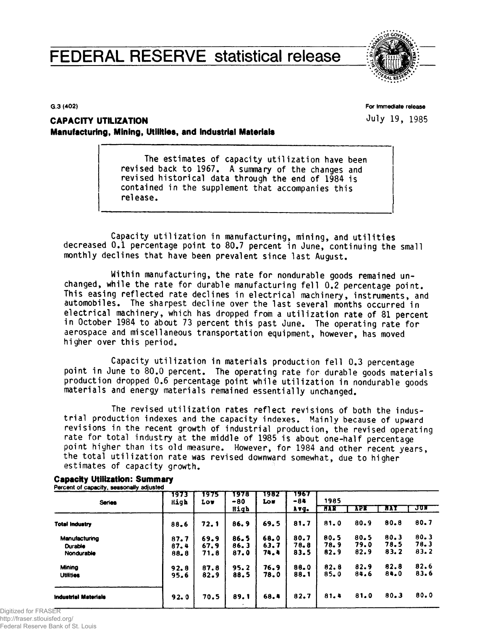# **FEDERAL RESERVE statistical release**



**G.3 (402)**

**For Immediate release** July 19, 1985

# **CAPACITY UTILIZATION Manufacturing, Mining, Utilities, and Industrial Materials**

The estimates of capacity utilization have been revised back to 1967. A summary of the changes and revised historical data through the end of 1984 is contained in the supplement that accompanies this release.

Capacity utilization in manufacturing, mining, and utilities decreased 0.1 percentage point to 80.7 percent in June, continuing the small monthly declines that have been prevalent since last August.

Within manufacturing, the rate for nondurable goods remained unchanged, while the rate for durable manufacturing fell 0.2 percentage point. This easing reflected rate declines in electrical machinery, instruments, and automobiles. The sharpest decline over the last several months occurred in electrical machinery, which has dropped from a utilization rate of 81 percent in October 1984 to about 73 percent this past June. The operating rate for aerospace and miscellaneous transportation equipment, however, has moved higher over this period.

Capacity utilization in materials production fell 0.3 percentage point in June to 80.0 percent. The operating rate for durable goods materials production dropped 0.6 percentage point while utilization in nondurable goods materials and energy materials remained essentially unchanged.

The revised utilization rates reflect revisions of both the industrial production indexes and the capacity indexes. Mainly because of upward revisions in the recent growth of industrial production, the revised operating rate for total industry at the middle of 1985 is about one-half percentage point higher than its old measure. However, for 1984 and other recent years, the total utilization rate was revised downward somewhat, due to higher estimates of capacity growth.

| <b>Series</b>               | 1973<br>High | 1975<br>Low | 1978<br>$-80$ | 1982<br><b>Lou</b> | 1967<br>$-84$ | 1985       |            |            |       |  |  |  |
|-----------------------------|--------------|-------------|---------------|--------------------|---------------|------------|------------|------------|-------|--|--|--|
|                             |              |             | High          |                    | Avq.          | <b>HAR</b> | <b>APR</b> | <b>HAY</b> | JUN 1 |  |  |  |
| <b>Total Industry</b>       | 88.6         | 72.1        | 86.9          | 69.5               | 81.7          | 81.0       | 80.9       | 80.8       | 80.7  |  |  |  |
| Manufacturing               | 87.7         | 69.9        | 86.5          | 68.0               | 80.7          | 80.5       | 80.5       | 80.3       | 80.3  |  |  |  |
| Durable                     | 87.4         | 67.9        | 86.3          | 63.7               | 78.8          | 78.9       | 79.0       | 78.5       | 78.3  |  |  |  |
| Nondurable                  | 88.8         | 71.8        | 87.0          | 74.4               | 83.5          | 82.9       | 82.9       | 83.2       | 83.2  |  |  |  |
| Mining                      | 92.8         | 87.8        | 95.2          | 76.9               | 88.0          | 82.8       | 82.9       | 82.8       | 82.6  |  |  |  |
| <b>Utilities</b>            | 95.6         | 82.9        | 88.5          | 78.0               | 88.1          | 85.0       | 84.6       | 84.0       | 83.6  |  |  |  |
| <b>Industrial Materials</b> | 92.0         | 70.5        | 89.1          | 68.4               | 82.7          | 81.4       | 81.0       | 80.3       | 80.0  |  |  |  |

#### **Capacity Utilization: Summary Percent of capacity, seasonally adjusted**

Digitized for FRASER http://fraser.stlouisfed.org/ Federal Reserve Bank of St. Louis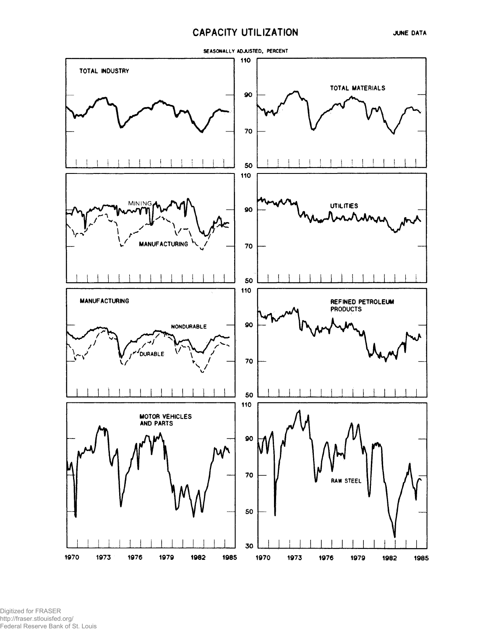## **CAPACITY UTILIZATION**



Digitized for FRASER http://fraser.stlouisfed.org/ Federal Reserve Bank of St. Louis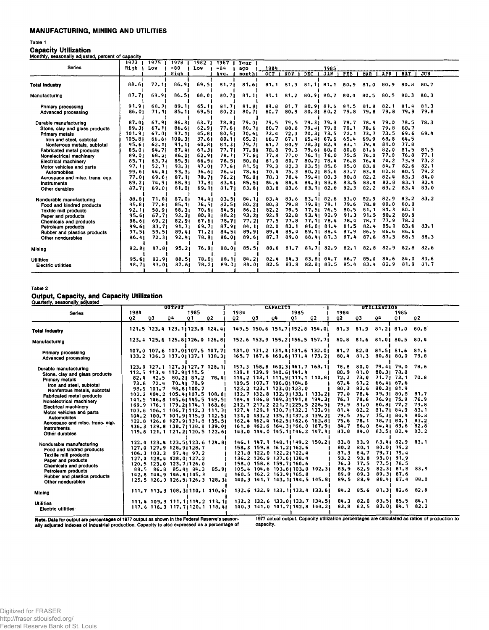### **MANUFACTURING, MINING AND UTILITIES**

#### Table 1

|                                  | 1973 <sub>1</sub> | 1975  | 1978   | 1982   | 1967   | <b>Tear</b> |      |          |                |          |            |            |          |            |          |
|----------------------------------|-------------------|-------|--------|--------|--------|-------------|------|----------|----------------|----------|------------|------------|----------|------------|----------|
| <b>Series</b>                    | High              | Low   | $-80$  | Low    | $-84$  | ago         | 1984 |          |                | 1985     |            |            |          |            |          |
|                                  |                   |       | High   |        | Avg.   | month       | OCT  | NOV      | DEC            | JAN      | <b>FEB</b> | <b>NAR</b> | APR      | <b>HAY</b> | JUN      |
| <b>Total Industry</b>            | 88.61             | 72.11 | 86.91  | 69.51  | 81.71  | 81.61       | 81.1 | 81.3     | $81.11$ $81.1$ |          | 80.9       | 81.0       | 80.9     | $80 - 8$   | $80 - 7$ |
| Manufacturing                    | 87,71             | 69.91 | 86.51  | 68.01  | 30.71  | 81.11       | 81.1 | $81 - 2$ | 80.91          | 80.7     | 80.4       | 80.5       | 80.5     | 80.3       | 80.3     |
| Primary processing               | 91.91             | 68.31 | 89.11  | 65.11  | 81.71  | 81.81       | 81.8 | 81.7     | 80.9181.6      |          | 81.5       | 81.8       | 82.1     | 81.4       | 81.3     |
| Advanced processing              | 86.01             | 71.11 | 85.11  | 69.51  | 80.21  | 80.71       | 80.7 | 80.9     | 80.81          | $80 - 2$ | 79.8       | 79.8       | 79.8     | 79.9       | 79.8     |
| Durable manufacturing            | 87.41             | 67.91 | 86, 31 | 63.71  | 78.81  | 79.01       | 79.5 | 79.5     | 79.3179.3      |          | 78.7       | 78.9       | 79.0     | 78.5       | 78.3     |
| Stone, clay and glass products   | 89.31             | 67.11 | 86.61  | 62.91  | 77.61  | 80.71       | 80.7 | 80.8     | 79.41          | 79.8     | 78.1       | 78.6       | 79.8     | 80.7       |          |
| Primary metals                   | 101.91            | 67.01 | 97.11  | 45.81  | 30.51  | 70.61       | 72.4 | 72.3     | 70.31          | 73.5     | 72.1       | 73.7       | 73.5     | 69.6       | 69.4     |
| fron and steel, subtotal         | 105.81            | 66.61 | 100.31 | 37.61  | 80.11  | 65.21       | 66.7 | 67.1     | 65.41 67.6     |          | 65.4       | 69.9       | 68.8     | 64.5       |          |
| Nonferrous metals, subtotal      | $95 - 61$         | 62.11 | 91.11  | 60.81  | 81.31  | 79.71       | 81.7 | 80.9     | 78.31 82.9     |          | 83.1       | 79.8       | 81.0     | 77.8       |          |
| <b>Fabricated metal products</b> | 85.01             | 64.71 | 87.41  | 61, 31 | 77.71  | 77.81       | 78.8 | 79.3     | 79.61 80.0     |          | 80.8       | 81.6       | 82.0     | 81.5       | 81.5     |
| Nonelectrical machinery          | 89.01             | 68.21 | 86.01  | 62.91  | 78,71  | 77.61       | 77.8 | 77.0     | 76.11 76.0     |          | 75.5       | 76.0       | 77.0     | 76.8       | 77.1     |
| <b>Electrical machinery</b>      | 85.71             | 63.71 | 89.91  | 66.91  | 78.51  | 80.01       | 81.0 | 80.7     | 80.71          | 78.4     | 76,8       | 76.4       | 74.2     | 73.9       | 73.2     |
| Motor vehicles and parts         | 97.11             | 52.71 | 93.31  | 47.01  | 77.61  | 81.51       | 79.3 | 82.3     | 83.51          | 85.8     | 85.0       | 83.8       | 84.7     | 82.6       | 82.1     |
| <b>Automobiles</b>               | 99.61             | 44.41 | 93.31  | 36.61  | 76.41  | 78.61       | 70.4 | 75.3     | 80.21 85.6     |          | 83.7       | 83.8       | 82.8     | 80.5       | 79.2     |
| Aerospace and misc. trans. eqp.  | 77.01             | 69.61 | 87.11  | 70.71  | 76.21  | 76.01       | 78.3 | 78.4     | 79.41 80.3     |          | 80.8       | 82.2       | 82.4     | 83.3       | 84.0     |
| Instruments                      | 89.21             | 74.91 | 88.91  | 77.81  | 83.41  | 85.51       | 84.6 | 84.4     | 84.31          | 83.8     | 83.5       | 83.4       | 82.8     | 83.1       | 82.4     |
| Other durables                   | 37.71             | 69.01 | 81,01  | 69.11  | 81,71  | 83.81       | 83.8 | 83.6     | 83.11          | 82.6     | 82.3       | 82.2       | 83.2     | 83.4       | 83.0     |
| Nondurable manufacturing         | 88.81             | 71.81 | 87.01  | 74.41  | 83,51  | 84, 11      | 83.4 | 83.6     | 83.11 82.8     |          | 83.0       | 82.9       | 82.9     | $83 - 2$   | 83.2     |
| Food and kindred products        | 85.81             | 77.61 | 85.11  | 76.51  | 82.51  | 80.21       | 80.3 | 79.8     | 79.81          | 79.1     | 79.6       | 78.8       | 80.0     | 80.0       |          |
| Textile mill products            | 92,11             | 58.91 | 88,31  | 70.61  | 84.51  | 86.21       | 82.2 | 79.5     | 77.51          | 76.5     | 80.5       | 81.1       | 81.3     | 80.3       |          |
| Paper and products               | 95.61             | 67.71 | 92.71  | 80.81  | 88, 21 | 93.21       | 92.9 | 92,8     | 93.41          | 92.9     | 91.3       | 91.5       | $90 - 2$ | 89.9       |          |
| Chemicals and products           | 88.61             | 69.21 | 82.91  | 67.61  | 78.71  | 77.21       | 77.5 | 77.8     | 77.11 78.4     |          | 78.4       | 78.7       | 77.9     | 78.2       |          |
| Petroleum products               | 99.61             | 83.71 | 91.71  | 69.71  | 87.91  | 84, 11      | 82.0 | 83.1     | 81.81 81.4     |          | 81.5       | 82.4       | 85.1     | 83.6       | 83.1     |
| Rubber and plastics products     | 97.51             | 59.51 | 89.41  | 71.21  | 84.51  | 89.91       | 89.4 | 89.4     | 89.11          | 88.4     | 87.9       | 86.5       | 86.6     | $86 - 6$   |          |
| Other nondurables                | 86.41             | 72.31 | 92.41  | 78.91  | 86.01  | 89.61       | 87.7 | 89.0     | 88.41          | 87,3     | 87.4       | 87.6       | 87.3     | 88.5       | 88.3     |
| Mining                           | 92.81             | 87.81 | 95.21  | 76.91  | 88.01  | 85.51       | 80.6 | 81.7     | 81.71          | 82.9     | 82.1       | 82.8       | 82.9     | $82 - 8$   | 82.6     |
| <b>Utilities</b>                 | 95.61             | 82.91 | 88,51  | 78.01  | 88.11  | 84.21       | 82,4 | 84.3     | 83.81          | 84,7     | 86.7       | 85.0       | 84.6     | 84.0       | 83.6     |
| Electric utilities               | 98.71             | 83.01 | 87.61  | 78.21  | 89.01  | 84.01       | 82.5 | 83.8     | 82.81          | 83.5     | 85.4       | 83.4       | 82.9     | 81.9       | 81.7     |

#### Table 2

# **Output, Capacity, and Capacity Utilization** Quarterly, seasonally adjusted

| Guarterry, Jeasonany aujusted                                                                                                         |            |            | <b>OUTPUT</b>                                                                                                                                                   |            |                |            |    | <b>CAPACITY</b>                                                                                           |            |                                                                                                                                      |                                      |                                                 |                             |                                                                       |                                                                                                |
|---------------------------------------------------------------------------------------------------------------------------------------|------------|------------|-----------------------------------------------------------------------------------------------------------------------------------------------------------------|------------|----------------|------------|----|-----------------------------------------------------------------------------------------------------------|------------|--------------------------------------------------------------------------------------------------------------------------------------|--------------------------------------|-------------------------------------------------|-----------------------------|-----------------------------------------------------------------------|------------------------------------------------------------------------------------------------|
| <b>Series</b>                                                                                                                         | 1984<br>Q2 | 03         | 04                                                                                                                                                              | 1985<br>01 | Q <sub>2</sub> | 1984<br>02 | QЗ | 04                                                                                                        | 1985<br>01 | 02                                                                                                                                   | 1984<br>02                           | Q3                                              | 94                          | 1985<br>$^{\circ}$                                                    | Q <sub>2</sub>                                                                                 |
| <b>Total Industry</b>                                                                                                                 |            |            | 121.5 123.4 123.1 123.8 124.4                                                                                                                                   |            |                |            |    |                                                                                                           |            | 149.5 150.6 151.7 152.8 154.01                                                                                                       | 81.3                                 | 81.9                                            | $81.2$   $81.0$             |                                                                       | 80.8                                                                                           |
| Manufacturing                                                                                                                         |            |            | 123.4 125.6 125.8 126.0 126.8                                                                                                                                   |            |                |            |    |                                                                                                           |            | 152.6 153.9 155.21156.5 157.71                                                                                                       |                                      |                                                 |                             | 80.8 81.6 81.01 80.5                                                  | 80.4                                                                                           |
| Primary processing<br>Advanced processing                                                                                             |            |            | 107.0 107.6 107.01107.5 107.71<br>133.2 136.3 137.01137.1 138.31                                                                                                |            |                |            |    |                                                                                                           |            | 131.0 131.2 131.4 131.6 132.01<br>165.7 167.6 169.6 171.4 173.2                                                                      | 80.4                                 | 81.3                                            | $81.7$ $82.0$ $81.5$ $81.6$ | 80.81 80.0                                                            | 81.6<br>79.8                                                                                   |
| Durable manufacturing<br>Stone, clay and glass products<br>Primary metals<br>Iron and steel, subtotal                                 |            |            | 123.9 127.1 127.31127.7 128.11<br>112.5 113.4 112.91111.5<br>$82.4$ $82.5$ $80.2$ $81.2$ $78.4$<br>$73.8$ $72.4$ $70.41$ $70.9$                                 |            |                |            |    | 139.1 139.9 140.6 141.4<br>109.5 107.7 106.01104.8                                                        |            | 157.3 158.8 160.31161.7 163.11<br>$114.2$ 113.1 111.9   111.1 110.8                                                                  | 67.4                                 | 78.8 80.0<br>80.9 81.0<br>$72.2$ $73.0$<br>67.2 | 79.41 79.0                  | $80.31$ 78.8<br>71.71 73.1<br>66.41 67.6                              | 78.6<br>70.8                                                                                   |
| Nonferrous metals, subtotal<br><b>Fabricated metal products</b><br>Nonelectrical machinery<br><b>Electrical machinery</b>             |            | 98.9 101.7 | 102.2 104.2 105.41107.5 108.81<br>141.5 146.8 145.61145.5 149.51<br>169.9 176.1 179.21174.1 168.61<br>103.8 106.1 106.71112.3 111.31                            | 98.81100.7 |                |            |    | 123.2 123.1 123.01123.0                                                                                   |            | 132.7 132.8 132.91133.1 133.21<br>184.4 186.8 189.31191.8 194.31<br>212.7 217.2 221.71225.5 228.51<br>127.4 129.1 130.71132.3 133.91 | 80.3<br>77.0<br>76.7<br>79.9<br>81.4 | 82.6<br>78.4<br>78.6<br>81.0<br>82.2            |                             | 80.3181.9<br>79.3180.8<br>76.91 75.9<br>$80.81$ $77.2$<br>81.7184.9   | 81.7<br>.76.9<br>73.8<br>83.1                                                                  |
| Motor vehicles and parts<br><b>Automobiles</b><br>Aerospace and misc. trans. eqp.<br><b>Instruments</b><br>Other durables             |            |            | 104.2 100.7 101.91115.9 112.51<br>122.8 126.8 127.91131.8 135.51<br>136.3 139.8 138.71138.8 139.01<br>119.8 121.1 121.21120.5 122.61                            |            |                |            |    |                                                                                                           |            | 131.0 133.2 135.31137.3 139.21<br>162.4 162.4 162.5 162.6 162.8<br>161.0 162.6 164.31166.0 167.91<br>143.0 144.0 145.11146.2 147.41  | 79.5<br>75.6<br>84.7<br>83.8         | 75.7<br>78.1<br>86.0<br>84.0                    |                             | 75.31 84.4<br>78.71 81.1<br>$84.41$ $83.6$<br>83.51 82.4              | 80.8<br>83.2<br>82.8<br>83.2                                                                   |
| Nondurable manufacturing<br>Food and kindred products<br><b>Textile mill products</b><br>Paper and products<br>Chemicals and products |            |            | 122.4 123.4 123.5 123.6 124.8<br>127.0 127.9 128.91128.7<br>$106.3$ $103.3$ $97.41$ $97.2$<br>$127.0$ $128.4$ $128.01127.2$<br>$120.5$ $123.0$ $123.7$ $1126.0$ |            |                |            |    | 158.3 159.8 161.21162.6<br>121.8 122.0 122.21122.4<br>136.2 136.9 137.61 138.4<br>158.0 158.8 159.71160.6 |            | 146.1 147.1 148.11149.2 150.21                                                                                                       | 83.8<br>80.2<br>87.3<br>93.2<br>76.3 | 83.9<br>80.1<br>84.7<br>93.8<br>77.5            |                             | 83.41 82.9<br>80.01 79.2<br>$79.71$ $79.4$<br>93.01 91.9<br>77.5178.5 | 83.1                                                                                           |
| Petroleum products<br>Rubber and plastics products<br>Other nondurables                                                               |            |            | $88.5$ $86.8$ $85.41$ $84.3$<br>142.8 144.9 146.4 145.3<br>125.5 126.0 126.5 126.3 128.3                                                                        |            | 85.91          |            |    | 160.5 162.2 163.91165.8                                                                                   |            | 105.4 104.6 103.8 103.0 102.3<br>140.3 141.7 143.11144.5 145.81                                                                      | 83.9<br>89.0<br>89.5                 | 82.9<br>89.3<br>88.9                            |                             | 82.3181.8<br>89.3187.6<br>88.41 87.4                                  | 83.9<br>88.0                                                                                   |
| Mining                                                                                                                                |            |            | $111.7$ $113.8$ $108.3$ $110.1$ $110.6$                                                                                                                         |            |                |            |    |                                                                                                           |            | 132.6 132.9 133.1 133.4 133.6                                                                                                        |                                      |                                                 |                             | 84.2 85.6 81.31 82.6 82.8                                             |                                                                                                |
| <b>Utilities</b><br><b>Electric utilities</b>                                                                                         |            |            | 111.4 109.8 111.11114.2 113.11<br>117.6 116.3 117.7 120.1 118.41                                                                                                |            |                |            |    |                                                                                                           |            | 132.2 132.6 133.0 133.7 134.51<br>140.3 141.0 141.7 142.8 144.21                                                                     |                                      | $83.8$ $82.5$                                   |                             | 84.3 82.8 83.5  85.5 84.1<br>83.0184.1                                | 82.2                                                                                           |
| Note, Data for output are percentages of 1977 output as shown in the Federal Reserve's season-                                        |            |            |                                                                                                                                                                 |            |                |            |    |                                                                                                           |            |                                                                                                                                      |                                      |                                                 |                             |                                                                       | 1977 actual output. Capacity utilization percentages are calculated as ratios of production to |

**1**<br> **Note.** Data for output are percentages of 1977 output as shown in the Federal Reserve's season-<br>ally adjusted indexes of industrial production. Capacity is also expressed as a percentage of

capacity.